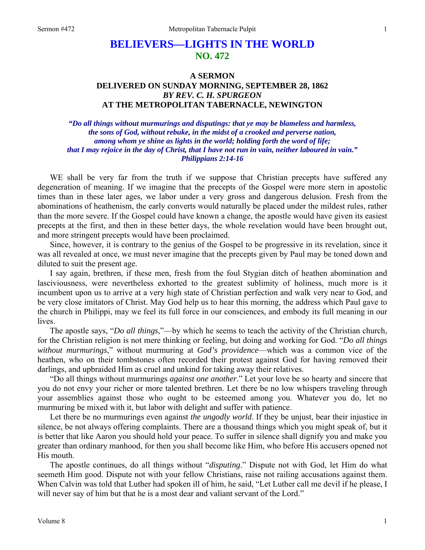## **BELIEVERS—LIGHTS IN THE WORLD NO. 472**

## **A SERMON DELIVERED ON SUNDAY MORNING, SEPTEMBER 28, 1862**  *BY REV. C. H. SPURGEON*  **AT THE METROPOLITAN TABERNACLE, NEWINGTON**

*"Do all things without murmurings and disputings: that ye may be blameless and harmless, the sons of God, without rebuke, in the midst of a crooked and perverse nation, among whom ye shine as lights in the world; holding forth the word of life; that I may rejoice in the day of Christ, that I have not run in vain, neither laboured in vain." Philippians 2:14-16* 

WE shall be very far from the truth if we suppose that Christian precepts have suffered any degeneration of meaning. If we imagine that the precepts of the Gospel were more stern in apostolic times than in these later ages, we labor under a very gross and dangerous delusion. Fresh from the abominations of heathenism, the early converts would naturally be placed under the mildest rules, rather than the more severe. If the Gospel could have known a change, the apostle would have given its easiest precepts at the first, and then in these better days, the whole revelation would have been brought out, and more stringent precepts would have been proclaimed.

Since, however, it is contrary to the genius of the Gospel to be progressive in its revelation, since it was all revealed at once, we must never imagine that the precepts given by Paul may be toned down and diluted to suit the present age.

I say again, brethren, if these men, fresh from the foul Stygian ditch of heathen abomination and lasciviousness, were nevertheless exhorted to the greatest sublimity of holiness, much more is it incumbent upon us to arrive at a very high state of Christian perfection and walk very near to God, and be very close imitators of Christ. May God help us to hear this morning, the address which Paul gave to the church in Philippi, may we feel its full force in our consciences, and embody its full meaning in our lives.

The apostle says, "*Do all things*,"—by which he seems to teach the activity of the Christian church, for the Christian religion is not mere thinking or feeling, but doing and working for God. "*Do all things without murmurings*," without murmuring at *God's providence*—which was a common vice of the heathen, who on their tombstones often recorded their protest against God for having removed their darlings, and upbraided Him as cruel and unkind for taking away their relatives.

"Do all things without murmurings *against one another*." Let your love be so hearty and sincere that you do not envy your richer or more talented brethren. Let there be no low whispers traveling through your assemblies against those who ought to be esteemed among you. Whatever you do, let no murmuring be mixed with it, but labor with delight and suffer with patience.

Let there be no murmurings even against *the ungodly world*. If they be unjust, bear their injustice in silence, be not always offering complaints. There are a thousand things which you might speak of, but it is better that like Aaron you should hold your peace. To suffer in silence shall dignify you and make you greater than ordinary manhood, for then you shall become like Him, who before His accusers opened not His mouth.

The apostle continues, do all things without "*disputing*." Dispute not with God, let Him do what seemeth Him good. Dispute not with your fellow Christians, raise not railing accusations against them. When Calvin was told that Luther had spoken ill of him, he said, "Let Luther call me devil if he please, I will never say of him but that he is a most dear and valiant servant of the Lord."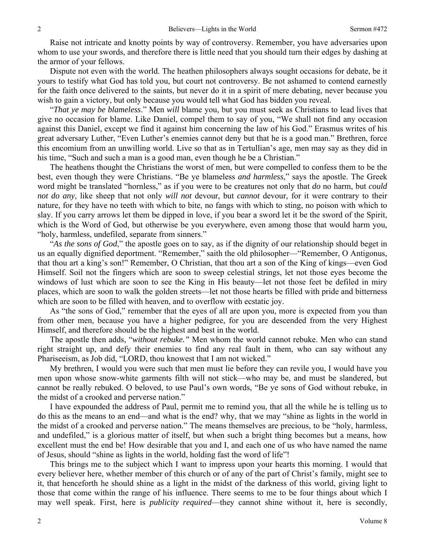Raise not intricate and knotty points by way of controversy. Remember, you have adversaries upon whom to use your swords, and therefore there is little need that you should turn their edges by dashing at the armor of your fellows.

Dispute not even with the world. The heathen philosophers always sought occasions for debate, be it yours to testify what God has told you, but court not controversy. Be not ashamed to contend earnestly for the faith once delivered to the saints, but never do it in a spirit of mere debating, never because you wish to gain a victory, but only because you would tell what God has bidden you reveal.

"*That ye may be blameless*." Men *will* blame you, but you must seek as Christians to lead lives that give no occasion for blame. Like Daniel, compel them to say of you, "We shall not find any occasion against this Daniel, except we find it against him concerning the law of his God." Erasmus writes of his great adversary Luther, "Even Luther's enemies cannot deny but that he is a good man." Brethren, force this encomium from an unwilling world. Live so that as in Tertullian's age, men may say as they did in his time, "Such and such a man is a good man, even though he be a Christian."

The heathens thought the Christians the worst of men, but were compelled to confess them to be the best, even though they were Christians. "Be ye blameless *and harmless*," says the apostle. The Greek word might be translated "hornless," as if you were to be creatures not only that *do* no harm, but *could not do any*, like sheep that not only *will not* devour, but *cannot* devour, for it were contrary to their nature, for they have no teeth with which to bite, no fangs with which to sting, no poison with which to slay. If you carry arrows let them be dipped in love, if you bear a sword let it be the sword of the Spirit, which is the Word of God, but otherwise be you everywhere, even among those that would harm you, "holy, harmless, undefiled, separate from sinners."

"*As the sons of God*," the apostle goes on to say, as if the dignity of our relationship should beget in us an equally dignified deportment. "Remember," saith the old philosopher—"Remember, O Antigonus, that thou art a king's son!" Remember, O Christian, that thou art a son of the King of kings—even God Himself. Soil not the fingers which are soon to sweep celestial strings, let not those eyes become the windows of lust which are soon to see the King in His beauty—let not those feet be defiled in miry places, which are soon to walk the golden streets—let not those hearts be filled with pride and bitterness which are soon to be filled with heaven, and to overflow with ecstatic joy.

As "the sons of God," remember that the eyes of all are upon you, more is expected from you than from other men, because you have a higher pedigree, for you are descended from the very Highest Himself, and therefore should be the highest and best in the world.

The apostle then adds, "*without rebuke."* Men whom the world cannot rebuke. Men who can stand right straight up, and defy their enemies to find any real fault in them, who can say without any Phariseeism, as Job did, "LORD, thou knowest that I am not wicked."

My brethren, I would you were such that men must lie before they can revile you, I would have you men upon whose snow-white garments filth will not stick—who may be, and must be slandered, but cannot be really rebuked. O beloved, to use Paul's own words, "Be ye sons of God without rebuke, in the midst of a crooked and perverse nation."

I have expounded the address of Paul, permit me to remind you, that all the while he is telling us to do this as the means to an end—and what is the end? why, that we may "shine as lights in the world in the midst of a crooked and perverse nation." The means themselves are precious, to be "holy, harmless, and undefiled," is a glorious matter of itself, but when such a bright thing becomes but a means, how excellent must the end be! How desirable that you and I, and each one of us who have named the name of Jesus, should "shine as lights in the world, holding fast the word of life"!

This brings me to the subject which I want to impress upon your hearts this morning. I would that every believer here, whether member of this church or of any of the part of Christ's family, might see to it, that henceforth he should shine as a light in the midst of the darkness of this world, giving light to those that come within the range of his influence. There seems to me to be four things about which I may well speak. First, here is *publicity required*—they cannot shine without it, here is secondly,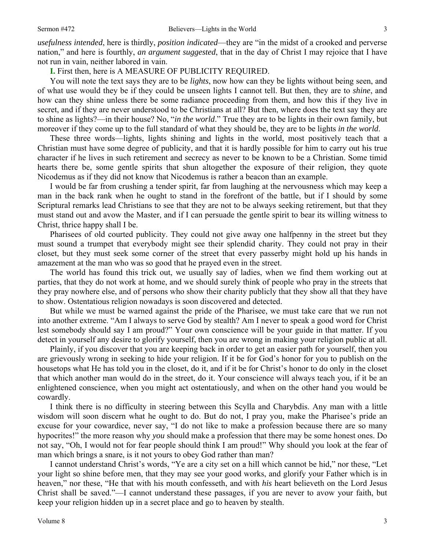*usefulness intended*, here is thirdly, *position indicated*—they are "in the midst of a crooked and perverse nation," and here is fourthly, *an argument suggested*, that in the day of Christ I may rejoice that I have not run in vain, neither labored in vain.

## **I.** First then, here is A MEASURE OF PUBLICITY REQUIRED.

You will note the text says they are to be *lights*, now how can they be lights without being seen, and of what use would they be if they could be unseen lights I cannot tell. But then, they are to *shine*, and how can they shine unless there be some radiance proceeding from them, and how this if they live in secret, and if they are never understood to be Christians at all? But then, where does the text say they are to shine as lights?—in their house? No, "*in the world*." True they are to be lights in their own family, but moreover if they come up to the full standard of what they should be, they are to be lights *in the world*.

These three words—lights, lights shining and lights in the world, most positively teach that a Christian must have some degree of publicity, and that it is hardly possible for him to carry out his true character if he lives in such retirement and secrecy as never to be known to be a Christian. Some timid hearts there be, some gentle spirits that shun altogether the exposure of their religion, they quote Nicodemus as if they did not know that Nicodemus is rather a beacon than an example.

I would be far from crushing a tender spirit, far from laughing at the nervousness which may keep a man in the back rank when he ought to stand in the forefront of the battle, but if I should by some Scriptural remarks lead Christians to see that they are not to be always seeking retirement, but that they must stand out and avow the Master, and if I can persuade the gentle spirit to bear its willing witness to Christ, thrice happy shall I be.

Pharisees of old courted publicity. They could not give away one halfpenny in the street but they must sound a trumpet that everybody might see their splendid charity. They could not pray in their closet, but they must seek some corner of the street that every passerby might hold up his hands in amazement at the man who was so good that he prayed even in the street.

The world has found this trick out, we usually say of ladies, when we find them working out at parties, that they do not work at home, and we should surely think of people who pray in the streets that they pray nowhere else, and of persons who show their charity publicly that they show all that they have to show. Ostentatious religion nowadays is soon discovered and detected.

But while we must be warned against the pride of the Pharisee, we must take care that we run not into another extreme. "Am I always to serve God by stealth? Am I never to speak a good word for Christ lest somebody should say I am proud?" Your own conscience will be your guide in that matter. If you detect in yourself any desire to glorify yourself, then you are wrong in making your religion public at all.

Plainly, if you discover that you are keeping back in order to get an easier path for yourself, then you are grievously wrong in seeking to hide your religion. If it be for God's honor for you to publish on the housetops what He has told you in the closet, do it, and if it be for Christ's honor to do only in the closet that which another man would do in the street, do it. Your conscience will always teach you, if it be an enlightened conscience, when you might act ostentatiously, and when on the other hand you would be cowardly.

I think there is no difficulty in steering between this Scylla and Charybdis. Any man with a little wisdom will soon discern what he ought to do. But do not, I pray you, make the Pharisee's pride an excuse for your cowardice, never say, "I do not like to make a profession because there are so many hypocrites!" the more reason why *you* should make a profession that there may be some honest ones. Do not say, "Oh, I would not for fear people should think I am proud!" Why should you look at the fear of man which brings a snare, is it not yours to obey God rather than man?

I cannot understand Christ's words, "Ye are a city set on a hill which cannot be hid," nor these, "Let your light so shine before men, that they may see your good works, and glorify your Father which is in heaven," nor these, "He that with his mouth confesseth, and with *his* heart believeth on the Lord Jesus Christ shall be saved."—I cannot understand these passages, if you are never to avow your faith, but keep your religion hidden up in a secret place and go to heaven by stealth.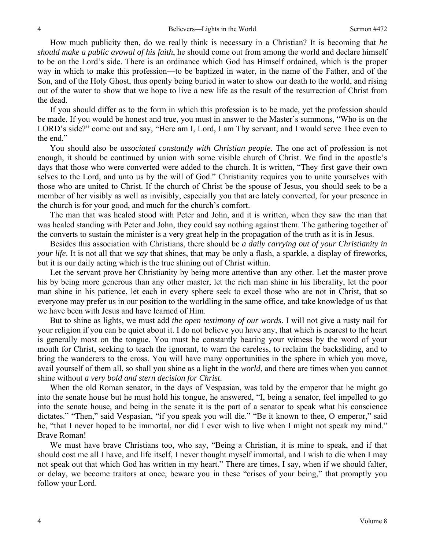How much publicity then, do we really think is necessary in a Christian? It is becoming that *he should make a public avowal of his faith*, he should come out from among the world and declare himself to be on the Lord's side. There is an ordinance which God has Himself ordained, which is the proper way in which to make this profession—to be baptized in water, in the name of the Father, and of the Son, and of the Holy Ghost, thus openly being buried in water to show our death to the world, and rising out of the water to show that we hope to live a new life as the result of the resurrection of Christ from the dead.

If you should differ as to the form in which this profession is to be made, yet the profession should be made. If you would be honest and true, you must in answer to the Master's summons, "Who is on the LORD's side?" come out and say, "Here am I, Lord, I am Thy servant, and I would serve Thee even to the end."

You should also be *associated constantly with Christian people*. The one act of profession is not enough, it should be continued by union with some visible church of Christ. We find in the apostle's days that those who were converted were added to the church. It is written, "They first gave their own selves to the Lord, and unto us by the will of God." Christianity requires you to unite yourselves with those who are united to Christ. If the church of Christ be the spouse of Jesus, you should seek to be a member of her visibly as well as invisibly, especially you that are lately converted, for your presence in the church is for your good, and much for the church's comfort.

The man that was healed stood with Peter and John, and it is written, when they saw the man that was healed standing with Peter and John, they could say nothing against them. The gathering together of the converts to sustain the minister is a very great help in the propagation of the truth as it is in Jesus.

Besides this association with Christians, there should be *a daily carrying out of your Christianity in your life*. It is not all that we *say* that shines, that may be only a flash, a sparkle, a display of fireworks, but it is our daily acting which is the true shining out of Christ within.

Let the servant prove her Christianity by being more attentive than any other. Let the master prove his by being more generous than any other master, let the rich man shine in his liberality, let the poor man shine in his patience, let each in every sphere seek to excel those who are not in Christ, that so everyone may prefer us in our position to the worldling in the same office, and take knowledge of us that we have been with Jesus and have learned of Him.

But to shine as lights, we must add *the open testimony of our words*. I will not give a rusty nail for your religion if you can be quiet about it. I do not believe you have any, that which is nearest to the heart is generally most on the tongue. You must be constantly bearing your witness by the word of your mouth for Christ, seeking to teach the ignorant, to warn the careless, to reclaim the backsliding, and to bring the wanderers to the cross. You will have many opportunities in the sphere in which you move, avail yourself of them all, so shall you shine as a light in the *world*, and there are times when you cannot shine without *a very bold and stern decision for Christ*.

When the old Roman senator, in the days of Vespasian, was told by the emperor that he might go into the senate house but he must hold his tongue, he answered, "I, being a senator, feel impelled to go into the senate house, and being in the senate it is the part of a senator to speak what his conscience dictates." "Then," said Vespasian, "if you speak you will die." "Be it known to thee, O emperor," said he, "that I never hoped to be immortal, nor did I ever wish to live when I might not speak my mind." Brave Roman!

We must have brave Christians too, who say, "Being a Christian, it is mine to speak, and if that should cost me all I have, and life itself, I never thought myself immortal, and I wish to die when I may not speak out that which God has written in my heart." There are times, I say, when if we should falter, or delay, we become traitors at once, beware you in these "crises of your being," that promptly you follow your Lord.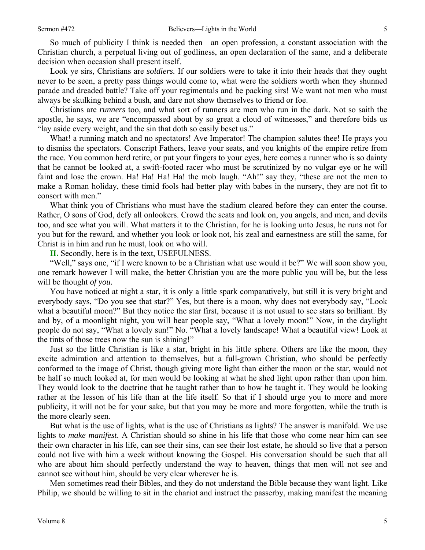So much of publicity I think is needed then—an open profession, a constant association with the Christian church, a perpetual living out of godliness, an open declaration of the same, and a deliberate decision when occasion shall present itself.

Look ye sirs, Christians are *soldiers.* If our soldiers were to take it into their heads that they ought never to be seen, a pretty pass things would come to, what were the soldiers worth when they shunned parade and dreaded battle? Take off your regimentals and be packing sirs! We want not men who must always be skulking behind a bush, and dare not show themselves to friend or foe.

Christians are *runners* too, and what sort of runners are men who run in the dark. Not so saith the apostle, he says, we are "encompassed about by so great a cloud of witnesses," and therefore bids us "lay aside every weight, and the sin that doth so easily beset us."

What! a running match and no spectators! Ave Imperator! The champion salutes thee! He prays you to dismiss the spectators. Conscript Fathers, leave your seats, and you knights of the empire retire from the race. You common herd retire, or put your fingers to your eyes, here comes a runner who is so dainty that he cannot be looked at, a swift-footed racer who must be scrutinized by no vulgar eye or he will faint and lose the crown. Ha! Ha! Ha! Ha! the mob laugh. "Ah!" say they, "these are not the men to make a Roman holiday, these timid fools had better play with babes in the nursery, they are not fit to consort with men."

What think you of Christians who must have the stadium cleared before they can enter the course. Rather, O sons of God, defy all onlookers. Crowd the seats and look on, you angels, and men, and devils too, and see what you will. What matters it to the Christian, for he is looking unto Jesus, he runs not for you but for the reward, and whether you look or look not, his zeal and earnestness are still the same, for Christ is in him and run he must, look on who will.

**II.** Secondly, here is in the text, USEFULNESS.

"Well," says one, "if I were known to be a Christian what use would it be?" We will soon show you, one remark however I will make, the better Christian you are the more public you will be, but the less will be thought *of you.*

You have noticed at night a star, it is only a little spark comparatively, but still it is very bright and everybody says, "Do you see that star?" Yes, but there is a moon, why does not everybody say, "Look what a beautiful moon?" But they notice the star first, because it is not usual to see stars so brilliant. By and by, of a moonlight night, you will hear people say, "What a lovely moon!" Now, in the daylight people do not say, "What a lovely sun!" No. "What a lovely landscape! What a beautiful view! Look at the tints of those trees now the sun is shining!"

Just so the little Christian is like a star, bright in his little sphere. Others are like the moon, they excite admiration and attention to themselves, but a full-grown Christian, who should be perfectly conformed to the image of Christ, though giving more light than either the moon or the star, would not be half so much looked at, for men would be looking at what he shed light upon rather than upon him. They would look to the doctrine that he taught rather than to how he taught it. They would be looking rather at the lesson of his life than at the life itself. So that if I should urge you to more and more publicity, it will not be for your sake, but that you may be more and more forgotten, while the truth is the more clearly seen.

But what is the use of lights, what is the use of Christians as lights? The answer is manifold. We use lights to *make manifest*. A Christian should so shine in his life that those who come near him can see their own character in his life, can see their sins, can see their lost estate, he should so live that a person could not live with him a week without knowing the Gospel. His conversation should be such that all who are about him should perfectly understand the way to heaven, things that men will not see and cannot see without him, should be very clear wherever he is.

Men sometimes read their Bibles, and they do not understand the Bible because they want light. Like Philip, we should be willing to sit in the chariot and instruct the passerby, making manifest the meaning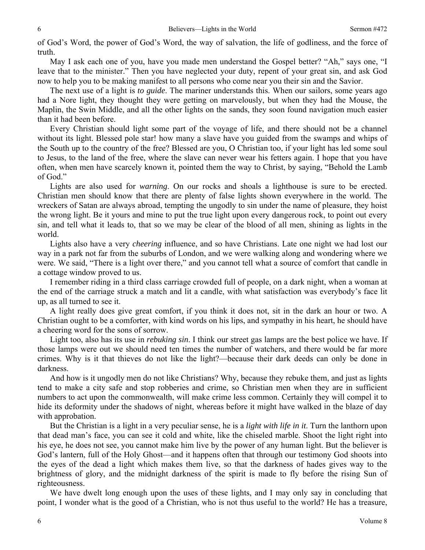of God's Word, the power of God's Word, the way of salvation, the life of godliness, and the force of truth.

May I ask each one of you, have you made men understand the Gospel better? "Ah," says one, "I leave that to the minister." Then you have neglected your duty, repent of your great sin, and ask God now to help you to be making manifest to all persons who come near you their sin and the Savior.

The next use of a light is *to guide*. The mariner understands this. When our sailors, some years ago had a Nore light, they thought they were getting on marvelously, but when they had the Mouse, the Maplin, the Swin Middle, and all the other lights on the sands, they soon found navigation much easier than it had been before.

Every Christian should light some part of the voyage of life, and there should not be a channel without its light. Blessed pole star! how many a slave have you guided from the swamps and whips of the South up to the country of the free? Blessed are you, O Christian too, if your light has led some soul to Jesus, to the land of the free, where the slave can never wear his fetters again. I hope that you have often, when men have scarcely known it, pointed them the way to Christ, by saying, "Behold the Lamb of God."

Lights are also used for *warning*. On our rocks and shoals a lighthouse is sure to be erected. Christian men should know that there are plenty of false lights shown everywhere in the world. The wreckers of Satan are always abroad, tempting the ungodly to sin under the name of pleasure, they hoist the wrong light. Be it yours and mine to put the true light upon every dangerous rock, to point out every sin, and tell what it leads to, that so we may be clear of the blood of all men, shining as lights in the world.

Lights also have a very *cheering* influence, and so have Christians. Late one night we had lost our way in a park not far from the suburbs of London, and we were walking along and wondering where we were. We said, "There is a light over there," and you cannot tell what a source of comfort that candle in a cottage window proved to us.

I remember riding in a third class carriage crowded full of people, on a dark night, when a woman at the end of the carriage struck a match and lit a candle, with what satisfaction was everybody's face lit up, as all turned to see it.

A light really does give great comfort, if you think it does not, sit in the dark an hour or two. A Christian ought to be a comforter, with kind words on his lips, and sympathy in his heart, he should have a cheering word for the sons of sorrow.

Light too, also has its use in *rebuking sin*. I think our street gas lamps are the best police we have. If those lamps were out we should need ten times the number of watchers, and there would be far more crimes. Why is it that thieves do not like the light?—because their dark deeds can only be done in darkness.

And how is it ungodly men do not like Christians? Why, because they rebuke them, and just as lights tend to make a city safe and stop robberies and crime, so Christian men when they are in sufficient numbers to act upon the commonwealth, will make crime less common. Certainly they will compel it to hide its deformity under the shadows of night, whereas before it might have walked in the blaze of day with approbation.

But the Christian is a light in a very peculiar sense, he is a *light with life in it*. Turn the lanthorn upon that dead man's face, you can see it cold and white, like the chiseled marble. Shoot the light right into his eye, he does not see, you cannot make him live by the power of any human light. But the believer is God's lantern, full of the Holy Ghost—and it happens often that through our testimony God shoots into the eyes of the dead a light which makes them live, so that the darkness of hades gives way to the brightness of glory, and the midnight darkness of the spirit is made to fly before the rising Sun of righteousness.

We have dwelt long enough upon the uses of these lights, and I may only say in concluding that point, I wonder what is the good of a Christian, who is not thus useful to the world? He has a treasure,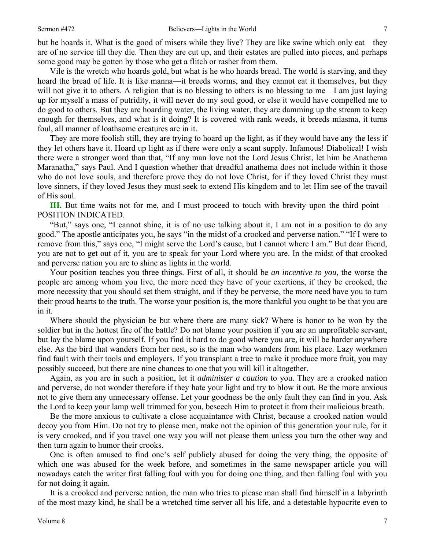but he hoards it. What is the good of misers while they live? They are like swine which only eat—they are of no service till they die. Then they are cut up, and their estates are pulled into pieces, and perhaps some good may be gotten by those who get a flitch or rasher from them.

Vile is the wretch who hoards gold, but what is he who hoards bread. The world is starving, and they hoard the bread of life. It is like manna—it breeds worms, and they cannot eat it themselves, but they will not give it to others. A religion that is no blessing to others is no blessing to me—I am just laying up for myself a mass of putridity, it will never do my soul good, or else it would have compelled me to do good to others. But they are hoarding water, the living water, they are damming up the stream to keep enough for themselves, and what is it doing? It is covered with rank weeds, it breeds miasma, it turns foul, all manner of loathsome creatures are in it.

They are more foolish still, they are trying to hoard up the light, as if they would have any the less if they let others have it. Hoard up light as if there were only a scant supply. Infamous! Diabolical! I wish there were a stronger word than that, "If any man love not the Lord Jesus Christ, let him be Anathema Maranatha," says Paul. And I question whether that dreadful anathema does not include within it those who do not love souls, and therefore prove they do not love Christ, for if they loved Christ they must love sinners, if they loved Jesus they must seek to extend His kingdom and to let Him see of the travail of His soul.

**III.** But time waits not for me, and I must proceed to touch with brevity upon the third point— POSITION INDICATED.

"But," says one, "I cannot shine, it is of no use talking about it, I am not in a position to do any good." The apostle anticipates you, he says "in the midst of a crooked and perverse nation." "If I were to remove from this," says one, "I might serve the Lord's cause, but I cannot where I am." But dear friend, you are not to get out of it, you are to speak for your Lord where you are. In the midst of that crooked and perverse nation you are to shine as lights in the world.

Your position teaches you three things. First of all, it should be *an incentive to you*, the worse the people are among whom you live, the more need they have of your exertions, if they be crooked, the more necessity that you should set them straight, and if they be perverse, the more need have you to turn their proud hearts to the truth. The worse your position is, the more thankful you ought to be that you are in it.

Where should the physician be but where there are many sick? Where is honor to be won by the soldier but in the hottest fire of the battle? Do not blame your position if you are an unprofitable servant, but lay the blame upon yourself. If you find it hard to do good where you are, it will be harder anywhere else. As the bird that wanders from her nest, so is the man who wanders from his place. Lazy workmen find fault with their tools and employers. If you transplant a tree to make it produce more fruit, you may possibly succeed, but there are nine chances to one that you will kill it altogether.

Again, as you are in such a position, let it *administer a caution* to you. They are a crooked nation and perverse, do not wonder therefore if they hate your light and try to blow it out. Be the more anxious not to give them any unnecessary offense. Let your goodness be the only fault they can find in you. Ask the Lord to keep your lamp well trimmed for you, beseech Him to protect it from their malicious breath.

Be the more anxious to cultivate a close acquaintance with Christ, because a crooked nation would decoy you from Him. Do not try to please men, make not the opinion of this generation your rule, for it is very crooked, and if you travel one way you will not please them unless you turn the other way and then turn again to humor their crooks.

One is often amused to find one's self publicly abused for doing the very thing, the opposite of which one was abused for the week before, and sometimes in the same newspaper article you will nowadays catch the writer first falling foul with you for doing one thing, and then falling foul with you for not doing it again.

It is a crooked and perverse nation, the man who tries to please man shall find himself in a labyrinth of the most mazy kind, he shall be a wretched time server all his life, and a detestable hypocrite even to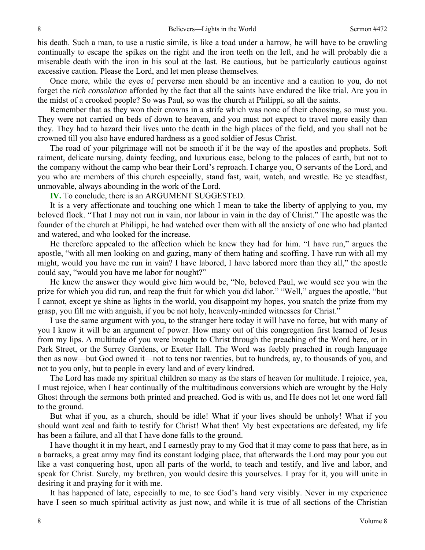his death. Such a man, to use a rustic simile, is like a toad under a harrow, he will have to be crawling continually to escape the spikes on the right and the iron teeth on the left, and he will probably die a miserable death with the iron in his soul at the last. Be cautious, but be particularly cautious against excessive caution. Please the Lord, and let men please themselves.

Once more, while the eyes of perverse men should be an incentive and a caution to you, do not forget the *rich consolation* afforded by the fact that all the saints have endured the like trial. Are you in the midst of a crooked people? So was Paul, so was the church at Philippi, so all the saints.

Remember that as they won their crowns in a strife which was none of their choosing, so must you. They were not carried on beds of down to heaven, and you must not expect to travel more easily than they. They had to hazard their lives unto the death in the high places of the field, and you shall not be crowned till you also have endured hardness as a good soldier of Jesus Christ.

The road of your pilgrimage will not be smooth if it be the way of the apostles and prophets. Soft raiment, delicate nursing, dainty feeding, and luxurious ease, belong to the palaces of earth, but not to the company without the camp who bear their Lord's reproach. I charge you, O servants of the Lord, and you who are members of this church especially, stand fast, wait, watch, and wrestle. Be ye steadfast, unmovable, always abounding in the work of the Lord.

**IV.** To conclude, there is an ARGUMENT SUGGESTED.

It is a very affectionate and touching one which I mean to take the liberty of applying to you, my beloved flock. "That I may not run in vain, nor labour in vain in the day of Christ." The apostle was the founder of the church at Philippi, he had watched over them with all the anxiety of one who had planted and watered, and who looked for the increase.

He therefore appealed to the affection which he knew they had for him. "I have run," argues the apostle, "with all men looking on and gazing, many of them hating and scoffing. I have run with all my might, would you have me run in vain? I have labored, I have labored more than they all," the apostle could say, "would you have me labor for nought?"

He knew the answer they would give him would be, "No, beloved Paul, we would see you win the prize for which you did run, and reap the fruit for which you did labor." "Well," argues the apostle, "but I cannot, except ye shine as lights in the world, you disappoint my hopes, you snatch the prize from my grasp, you fill me with anguish, if you be not holy, heavenly-minded witnesses for Christ."

I use the same argument with you, to the stranger here today it will have no force, but with many of you I know it will be an argument of power. How many out of this congregation first learned of Jesus from my lips. A multitude of you were brought to Christ through the preaching of the Word here, or in Park Street, or the Surrey Gardens, or Exeter Hall. The Word was feebly preached in rough language then as now—but God owned it—not to tens nor twenties, but to hundreds, ay, to thousands of you, and not to you only, but to people in every land and of every kindred.

The Lord has made my spiritual children so many as the stars of heaven for multitude. I rejoice, yea, I must rejoice, when I hear continually of the multitudinous conversions which are wrought by the Holy Ghost through the sermons both printed and preached. God is with us, and He does not let one word fall to the ground.

But what if you, as a church, should be idle! What if your lives should be unholy! What if you should want zeal and faith to testify for Christ! What then! My best expectations are defeated, my life has been a failure, and all that I have done falls to the ground.

I have thought it in my heart, and I earnestly pray to my God that it may come to pass that here, as in a barracks, a great army may find its constant lodging place, that afterwards the Lord may pour you out like a vast conquering host, upon all parts of the world, to teach and testify, and live and labor, and speak for Christ. Surely, my brethren, you would desire this yourselves. I pray for it, you will unite in desiring it and praying for it with me.

It has happened of late, especially to me, to see God's hand very visibly. Never in my experience have I seen so much spiritual activity as just now, and while it is true of all sections of the Christian

8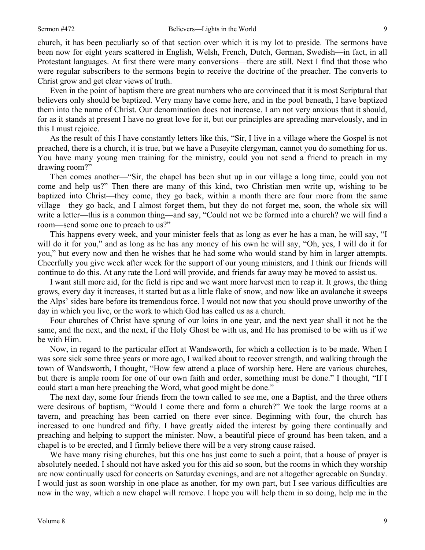church, it has been peculiarly so of that section over which it is my lot to preside. The sermons have been now for eight years scattered in English, Welsh, French, Dutch, German, Swedish—in fact, in all Protestant languages. At first there were many conversions—there are still. Next I find that those who were regular subscribers to the sermons begin to receive the doctrine of the preacher. The converts to Christ grow and get clear views of truth.

Even in the point of baptism there are great numbers who are convinced that it is most Scriptural that believers only should be baptized. Very many have come here, and in the pool beneath, I have baptized them into the name of Christ. Our denomination does not increase. I am not very anxious that it should, for as it stands at present I have no great love for it, but our principles are spreading marvelously, and in this I must rejoice.

As the result of this I have constantly letters like this, "Sir, I live in a village where the Gospel is not preached, there is a church, it is true, but we have a Puseyite clergyman, cannot you do something for us. You have many young men training for the ministry, could you not send a friend to preach in my drawing room?"

Then comes another—"Sir, the chapel has been shut up in our village a long time, could you not come and help us?" Then there are many of this kind, two Christian men write up, wishing to be baptized into Christ—they come, they go back, within a month there are four more from the same village—they go back, and I almost forget them, but they do not forget me, soon, the whole six will write a letter—this is a common thing—and say, "Could not we be formed into a church? we will find a room—send some one to preach to us?"

This happens every week, and your minister feels that as long as ever he has a man, he will say, "I will do it for you," and as long as he has any money of his own he will say, "Oh, yes, I will do it for you," but every now and then he wishes that he had some who would stand by him in larger attempts. Cheerfully you give week after week for the support of our young ministers, and I think our friends will continue to do this. At any rate the Lord will provide, and friends far away may be moved to assist us.

I want still more aid, for the field is ripe and we want more harvest men to reap it. It grows, the thing grows, every day it increases, it started but as a little flake of snow, and now like an avalanche it sweeps the Alps' sides bare before its tremendous force. I would not now that you should prove unworthy of the day in which you live, or the work to which God has called us as a church.

Four churches of Christ have sprung of our loins in one year, and the next year shall it not be the same, and the next, and the next, if the Holy Ghost be with us, and He has promised to be with us if we be with Him.

Now, in regard to the particular effort at Wandsworth, for which a collection is to be made. When I was sore sick some three years or more ago, I walked about to recover strength, and walking through the town of Wandsworth, I thought, "How few attend a place of worship here. Here are various churches, but there is ample room for one of our own faith and order, something must be done." I thought, "If I could start a man here preaching the Word, what good might be done."

The next day, some four friends from the town called to see me, one a Baptist, and the three others were desirous of baptism, "Would I come there and form a church?" We took the large rooms at a tavern, and preaching has been carried on there ever since. Beginning with four, the church has increased to one hundred and fifty. I have greatly aided the interest by going there continually and preaching and helping to support the minister. Now, a beautiful piece of ground has been taken, and a chapel is to be erected, and I firmly believe there will be a very strong cause raised.

We have many rising churches, but this one has just come to such a point, that a house of prayer is absolutely needed. I should not have asked you for this aid so soon, but the rooms in which they worship are now continually used for concerts on Saturday evenings, and are not altogether agreeable on Sunday. I would just as soon worship in one place as another, for my own part, but I see various difficulties are now in the way, which a new chapel will remove. I hope you will help them in so doing, help me in the